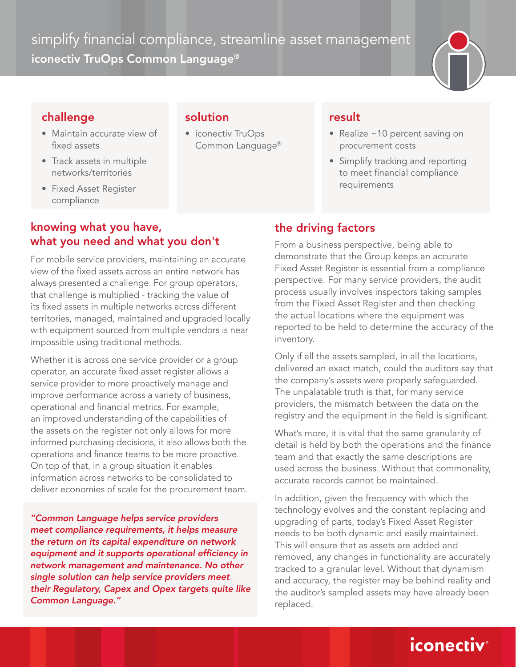simplify financial compliance, streamline asset management iconectiv TruOps Common Language®



## challenge

- Maintain accurate view of fixed assets
- Track assets in multiple networks/territories
- Fixed Asset Register compliance

### solution

• iconectiv TruOps Common Language®

#### result

- Realize ~10 percent saving on procurement costs
- Simplify tracking and reporting to meet financial compliance requirements

## knowing what you have, what you need and what you don't

For mobile service providers, maintaining an accurate view of the fixed assets across an entire network has always presented a challenge. For group operators, that challenge is multiplied - tracking the value of its fixed assets in multiple networks across different territories, managed, maintained and upgraded locally with equipment sourced from multiple vendors is near impossible using traditional methods.

Whether it is across one service provider or a group operator, an accurate fixed asset register allows a service provider to more proactively manage and improve performance across a variety of business, operational and financial metrics. For example, an improved understanding of the capabilities of the assets on the register not only allows for more informed purchasing decisions, it also allows both the operations and finance teams to be more proactive. On top of that, in a group situation it enables information across networks to be consolidated to deliver economies of scale for the procurement team.

*"Common Language helps service providers meet compliance requirements, it helps measure the return on its capital expenditure on network*  equipment and it supports operational efficiency in *network management and maintenance. No other single solution can help service providers meet*  their Regulatory, Capex and Opex targets quite like *Common Language."*

# the driving factors

From a business perspective, being able to demonstrate that the Group keeps an accurate Fixed Asset Register is essential from a compliance perspective. For many service providers, the audit process usually involves inspectors taking samples from the Fixed Asset Register and then checking the actual locations where the equipment was reported to be held to determine the accuracy of the inventory.

Only if all the assets sampled, in all the locations, delivered an exact match, could the auditors say that the company's assets were properly safeguarded. The unpalatable truth is that, for many service providers, the mismatch between the data on the registry and the equipment in the field is significant.

What's more, it is vital that the same granularity of detail is held by both the operations and the finance team and that exactly the same descriptions are used across the business. Without that commonality, accurate records cannot be maintained.

In addition, given the frequency with which the technology evolves and the constant replacing and upgrading of parts, today's Fixed Asset Register needs to be both dynamic and easily maintained. This will ensure that as assets are added and removed, any changes in functionality are accurately tracked to a granular level. Without that dynamism and accuracy, the register may be behind reality and the auditor's sampled assets may have already been replaced.